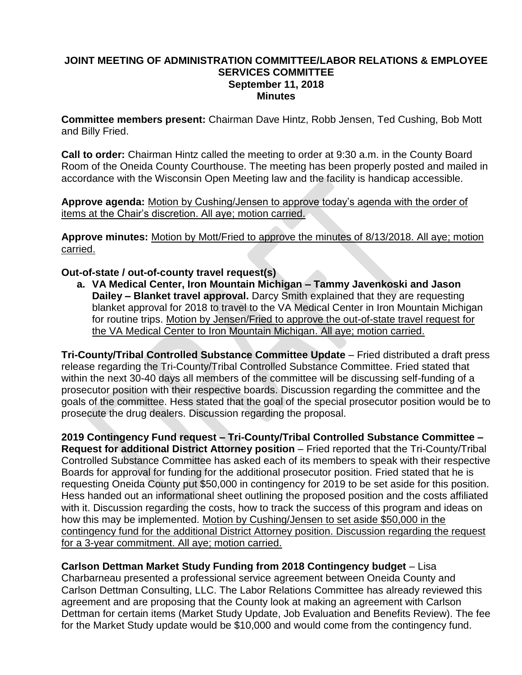## **JOINT MEETING OF ADMINISTRATION COMMITTEE/LABOR RELATIONS & EMPLOYEE SERVICES COMMITTEE September 11, 2018 Minutes**

**Committee members present:** Chairman Dave Hintz, Robb Jensen, Ted Cushing, Bob Mott and Billy Fried.

**Call to order:** Chairman Hintz called the meeting to order at 9:30 a.m. in the County Board Room of the Oneida County Courthouse. The meeting has been properly posted and mailed in accordance with the Wisconsin Open Meeting law and the facility is handicap accessible.

**Approve agenda:** Motion by Cushing/Jensen to approve today's agenda with the order of items at the Chair's discretion. All aye; motion carried.

**Approve minutes:** Motion by Mott/Fried to approve the minutes of 8/13/2018. All aye; motion carried.

## **Out-of-state / out-of-county travel request(s)**

**a. VA Medical Center, Iron Mountain Michigan – Tammy Javenkoski and Jason Dailey – Blanket travel approval.** Darcy Smith explained that they are requesting blanket approval for 2018 to travel to the VA Medical Center in Iron Mountain Michigan for routine trips. Motion by Jensen/Fried to approve the out-of-state travel request for the VA Medical Center to Iron Mountain Michigan. All aye; motion carried.

**Tri-County/Tribal Controlled Substance Committee Update** – Fried distributed a draft press release regarding the Tri-County/Tribal Controlled Substance Committee. Fried stated that within the next 30-40 days all members of the committee will be discussing self-funding of a prosecutor position with their respective boards. Discussion regarding the committee and the goals of the committee. Hess stated that the goal of the special prosecutor position would be to prosecute the drug dealers. Discussion regarding the proposal.

**2019 Contingency Fund request – Tri-County/Tribal Controlled Substance Committee – Request for additional District Attorney position** – Fried reported that the Tri-County/Tribal Controlled Substance Committee has asked each of its members to speak with their respective Boards for approval for funding for the additional prosecutor position. Fried stated that he is requesting Oneida County put \$50,000 in contingency for 2019 to be set aside for this position. Hess handed out an informational sheet outlining the proposed position and the costs affiliated with it. Discussion regarding the costs, how to track the success of this program and ideas on how this may be implemented. Motion by Cushing/Jensen to set aside \$50,000 in the contingency fund for the additional District Attorney position. Discussion regarding the request for a 3-year commitment. All aye; motion carried.

**Carlson Dettman Market Study Funding from 2018 Contingency budget** – Lisa Charbarneau presented a professional service agreement between Oneida County and Carlson Dettman Consulting, LLC. The Labor Relations Committee has already reviewed this agreement and are proposing that the County look at making an agreement with Carlson Dettman for certain items (Market Study Update, Job Evaluation and Benefits Review). The fee for the Market Study update would be \$10,000 and would come from the contingency fund.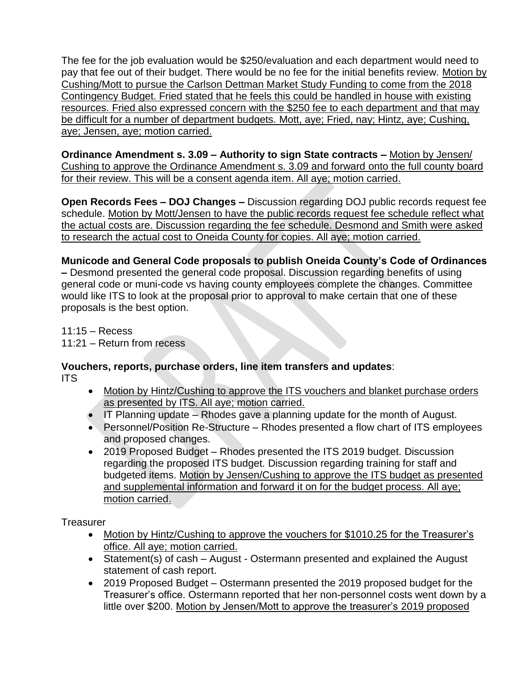The fee for the job evaluation would be \$250/evaluation and each department would need to pay that fee out of their budget. There would be no fee for the initial benefits review. Motion by Cushing/Mott to pursue the Carlson Dettman Market Study Funding to come from the 2018 Contingency Budget. Fried stated that he feels this could be handled in house with existing resources. Fried also expressed concern with the \$250 fee to each department and that may be difficult for a number of department budgets. Mott, aye; Fried, nay; Hintz, aye; Cushing, aye; Jensen, aye; motion carried.

**Ordinance Amendment s. 3.09 – Authority to sign State contracts –** Motion by Jensen/ Cushing to approve the Ordinance Amendment s. 3.09 and forward onto the full county board for their review. This will be a consent agenda item. All aye; motion carried.

**Open Records Fees – DOJ Changes –** Discussion regarding DOJ public records request fee schedule. Motion by Mott/Jensen to have the public records request fee schedule reflect what the actual costs are. Discussion regarding the fee schedule. Desmond and Smith were asked to research the actual cost to Oneida County for copies. All aye; motion carried.

**Municode and General Code proposals to publish Oneida County's Code of Ordinances –** Desmond presented the general code proposal. Discussion regarding benefits of using

general code or muni-code vs having county employees complete the changes. Committee would like ITS to look at the proposal prior to approval to make certain that one of these proposals is the best option.

11:15 – Recess 11:21 – Return from recess

**Vouchers, reports, purchase orders, line item transfers and updates**: ITS

- Motion by Hintz/Cushing to approve the ITS vouchers and blanket purchase orders as presented by ITS. All aye; motion carried.
- $\bullet$  IT Planning update Rhodes gave a planning update for the month of August.
- Personnel/Position Re-Structure Rhodes presented a flow chart of ITS employees and proposed changes.
- 2019 Proposed Budget Rhodes presented the ITS 2019 budget. Discussion regarding the proposed ITS budget. Discussion regarding training for staff and budgeted items. Motion by Jensen/Cushing to approve the ITS budget as presented and supplemental information and forward it on for the budget process. All aye; motion carried.

Treasurer

- Motion by Hintz/Cushing to approve the vouchers for \$1010.25 for the Treasurer's office. All aye; motion carried.
- Statement(s) of cash August Ostermann presented and explained the August statement of cash report.
- 2019 Proposed Budget Ostermann presented the 2019 proposed budget for the Treasurer's office. Ostermann reported that her non-personnel costs went down by a little over \$200. Motion by Jensen/Mott to approve the treasurer's 2019 proposed